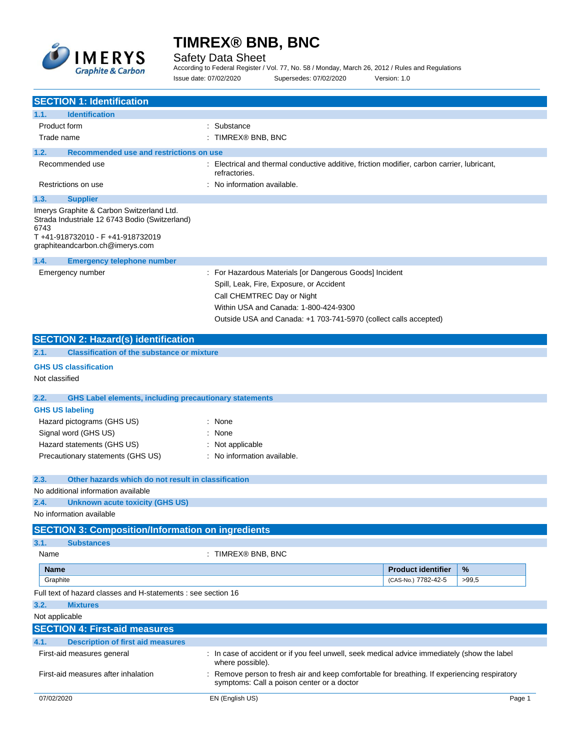

Safety Data Sheet

According to Federal Register / Vol. 77, No. 58 / Monday, March 26, 2012 / Rules and Regulations Issue date: 07/02/2020 Supersedes: 07/02/2020 Version: 1.0

| <b>SECTION 1: Identification</b>                                                                                                                                          |                                                                                                                                                                                                                                                |
|---------------------------------------------------------------------------------------------------------------------------------------------------------------------------|------------------------------------------------------------------------------------------------------------------------------------------------------------------------------------------------------------------------------------------------|
| <b>Identification</b><br>1.1.                                                                                                                                             |                                                                                                                                                                                                                                                |
| Product form                                                                                                                                                              | Substance                                                                                                                                                                                                                                      |
| Trade name                                                                                                                                                                | : TIMREX® BNB, BNC                                                                                                                                                                                                                             |
| Recommended use and restrictions on use<br>1.2.                                                                                                                           |                                                                                                                                                                                                                                                |
| Recommended use                                                                                                                                                           | : Electrical and thermal conductive additive, friction modifier, carbon carrier, lubricant,<br>refractories.                                                                                                                                   |
| Restrictions on use                                                                                                                                                       | No information available.                                                                                                                                                                                                                      |
| 1.3.<br><b>Supplier</b>                                                                                                                                                   |                                                                                                                                                                                                                                                |
| Imerys Graphite & Carbon Switzerland Ltd.<br>Strada Industriale 12 6743 Bodio (Switzerland)<br>6743<br>T+41-918732010 - F+41-918732019<br>graphiteandcarbon.ch@imerys.com |                                                                                                                                                                                                                                                |
| 1.4.<br><b>Emergency telephone number</b>                                                                                                                                 |                                                                                                                                                                                                                                                |
| Emergency number                                                                                                                                                          | : For Hazardous Materials [or Dangerous Goods] Incident<br>Spill, Leak, Fire, Exposure, or Accident<br>Call CHEMTREC Day or Night<br>Within USA and Canada: 1-800-424-9300<br>Outside USA and Canada: +1 703-741-5970 (collect calls accepted) |
| <b>SECTION 2: Hazard(s) identification</b>                                                                                                                                |                                                                                                                                                                                                                                                |
| <b>Classification of the substance or mixture</b><br>2.1.                                                                                                                 |                                                                                                                                                                                                                                                |
| <b>GHS US classification</b>                                                                                                                                              |                                                                                                                                                                                                                                                |
| Not classified                                                                                                                                                            |                                                                                                                                                                                                                                                |
| <b>GHS Label elements, including precautionary statements</b><br>2.2.                                                                                                     |                                                                                                                                                                                                                                                |
| <b>GHS US labeling</b>                                                                                                                                                    |                                                                                                                                                                                                                                                |
| Hazard pictograms (GHS US)                                                                                                                                                | None                                                                                                                                                                                                                                           |
| Signal word (GHS US)                                                                                                                                                      | None                                                                                                                                                                                                                                           |
| Hazard statements (GHS US)                                                                                                                                                | : Not applicable                                                                                                                                                                                                                               |
| Precautionary statements (GHS US)                                                                                                                                         | : No information available.                                                                                                                                                                                                                    |
| Other hazards which do not result in classification<br>2.3.                                                                                                               |                                                                                                                                                                                                                                                |
| No additional information available                                                                                                                                       |                                                                                                                                                                                                                                                |
| <b>Unknown acute toxicity (GHS US)</b><br>2.4.                                                                                                                            |                                                                                                                                                                                                                                                |
| No information available                                                                                                                                                  |                                                                                                                                                                                                                                                |
| <b>SECTION 3: Composition/Information on ingredients</b>                                                                                                                  |                                                                                                                                                                                                                                                |
| 3.1.<br><b>Substances</b>                                                                                                                                                 |                                                                                                                                                                                                                                                |
| Name                                                                                                                                                                      | : TIMREX® BNB, BNC                                                                                                                                                                                                                             |
| <b>Name</b>                                                                                                                                                               | <b>Product identifier</b><br>%                                                                                                                                                                                                                 |
| Graphite                                                                                                                                                                  | (CAS-No.) 7782-42-5<br>>99,5                                                                                                                                                                                                                   |
| Full text of hazard classes and H-statements : see section 16                                                                                                             |                                                                                                                                                                                                                                                |
| 3.2.<br><b>Mixtures</b>                                                                                                                                                   |                                                                                                                                                                                                                                                |
| Not applicable                                                                                                                                                            |                                                                                                                                                                                                                                                |
| <b>SECTION 4: First-aid measures</b>                                                                                                                                      |                                                                                                                                                                                                                                                |
| 4.1.<br><b>Description of first aid measures</b>                                                                                                                          |                                                                                                                                                                                                                                                |
| First-aid measures general                                                                                                                                                | In case of accident or if you feel unwell, seek medical advice immediately (show the label<br>where possible).                                                                                                                                 |
| First-aid measures after inhalation                                                                                                                                       | Remove person to fresh air and keep comfortable for breathing. If experiencing respiratory<br>symptoms: Call a poison center or a doctor                                                                                                       |
| 07/02/2020                                                                                                                                                                | EN (English US)<br>Page 1                                                                                                                                                                                                                      |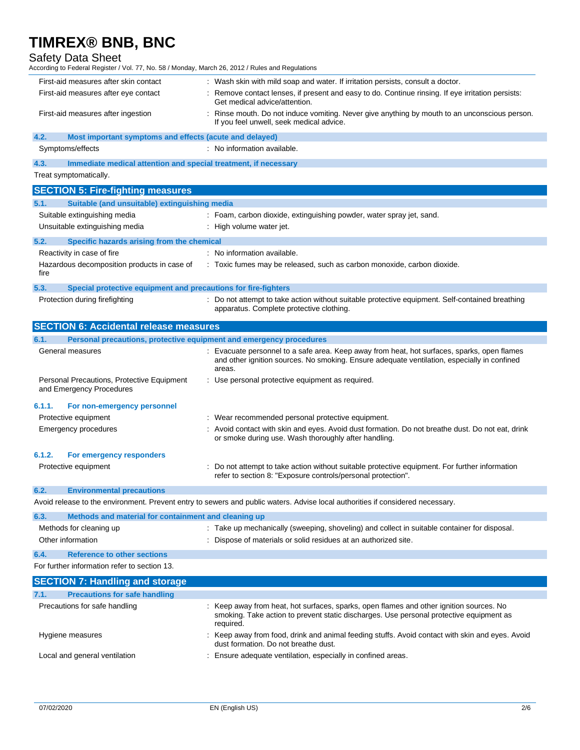## Safety Data Sheet

According to Federal Register / Vol. 77, No. 58 / Monday, March 26, 2012 / Rules and Regulations

| First-aid measures after skin contact                           | : Wash skin with mild soap and water. If irritation persists, consult a doctor.                                                         |
|-----------------------------------------------------------------|-----------------------------------------------------------------------------------------------------------------------------------------|
| First-aid measures after eye contact                            | Remove contact lenses, if present and easy to do. Continue rinsing. If eye irritation persists:<br>Get medical advice/attention.        |
| First-aid measures after ingestion                              | Rinse mouth. Do not induce vomiting. Never give anything by mouth to an unconscious person.<br>If you feel unwell, seek medical advice. |
| 4.2.<br>Most important symptoms and effects (acute and delayed) |                                                                                                                                         |
| Symptoms/effects                                                | No information available.                                                                                                               |
|                                                                 |                                                                                                                                         |

**4.3. Immediate medical attention and special treatment, if necessary**

Treat symptomatically.

|        | <b>SECTION 5: Fire-fighting measures</b>                               |                                                                                                                                                                                                    |
|--------|------------------------------------------------------------------------|----------------------------------------------------------------------------------------------------------------------------------------------------------------------------------------------------|
| 5.1.   | Suitable (and unsuitable) extinguishing media                          |                                                                                                                                                                                                    |
|        | Suitable extinguishing media                                           | : Foam, carbon dioxide, extinguishing powder, water spray jet, sand.                                                                                                                               |
|        | Unsuitable extinguishing media                                         | : High volume water jet.                                                                                                                                                                           |
| 5.2.   | Specific hazards arising from the chemical                             |                                                                                                                                                                                                    |
|        | Reactivity in case of fire                                             | : No information available.                                                                                                                                                                        |
| fire   | Hazardous decomposition products in case of                            | : Toxic fumes may be released, such as carbon monoxide, carbon dioxide.                                                                                                                            |
| 5.3.   | Special protective equipment and precautions for fire-fighters         |                                                                                                                                                                                                    |
|        | Protection during firefighting                                         | : Do not attempt to take action without suitable protective equipment. Self-contained breathing<br>apparatus. Complete protective clothing.                                                        |
|        | <b>SECTION 6: Accidental release measures</b>                          |                                                                                                                                                                                                    |
| 6.1.   | Personal precautions, protective equipment and emergency procedures    |                                                                                                                                                                                                    |
|        | General measures                                                       | Evacuate personnel to a safe area. Keep away from heat, hot surfaces, sparks, open flames<br>and other ignition sources. No smoking. Ensure adequate ventilation, especially in confined<br>areas. |
|        | Personal Precautions, Protective Equipment<br>and Emergency Procedures | : Use personal protective equipment as required.                                                                                                                                                   |
| 6.1.1. | For non-emergency personnel                                            |                                                                                                                                                                                                    |
|        | Protective equipment                                                   | Wear recommended personal protective equipment.                                                                                                                                                    |
|        | <b>Emergency procedures</b>                                            | Avoid contact with skin and eyes. Avoid dust formation. Do not breathe dust. Do not eat, drink<br>or smoke during use. Wash thoroughly after handling.                                             |
| 6.1.2. | For emergency responders                                               |                                                                                                                                                                                                    |
|        | Protective equipment                                                   | Do not attempt to take action without suitable protective equipment. For further information<br>refer to section 8: "Exposure controls/personal protection".                                       |
| 6.2.   | <b>Environmental precautions</b>                                       |                                                                                                                                                                                                    |
|        |                                                                        | Avoid release to the environment. Prevent entry to sewers and public waters. Advise local authorities if considered necessary.                                                                     |
| 6.3.   | Methods and material for containment and cleaning up                   |                                                                                                                                                                                                    |
|        | Methods for cleaning up                                                | : Take up mechanically (sweeping, shoveling) and collect in suitable container for disposal.                                                                                                       |

|  | Dispose of materials or solid residues at an authorized site. |  |
|--|---------------------------------------------------------------|--|
|  |                                                               |  |

**6.4. Reference to other sections**

Other information

| For further information refer to section 13. |
|----------------------------------------------|
|----------------------------------------------|

| <b>SECTION 7: Handling and storage</b>       |                                                                                                                                                                                               |
|----------------------------------------------|-----------------------------------------------------------------------------------------------------------------------------------------------------------------------------------------------|
| <b>Precautions for safe handling</b><br>7.1. |                                                                                                                                                                                               |
| Precautions for safe handling                | Keep away from heat, hot surfaces, sparks, open flames and other ignition sources. No<br>smoking. Take action to prevent static discharges. Use personal protective equipment as<br>required. |
| Hygiene measures                             | Keep away from food, drink and animal feeding stuffs. Avoid contact with skin and eyes. Avoid<br>dust formation. Do not breathe dust.                                                         |
| Local and general ventilation                | Ensure adequate ventilation, especially in confined areas.                                                                                                                                    |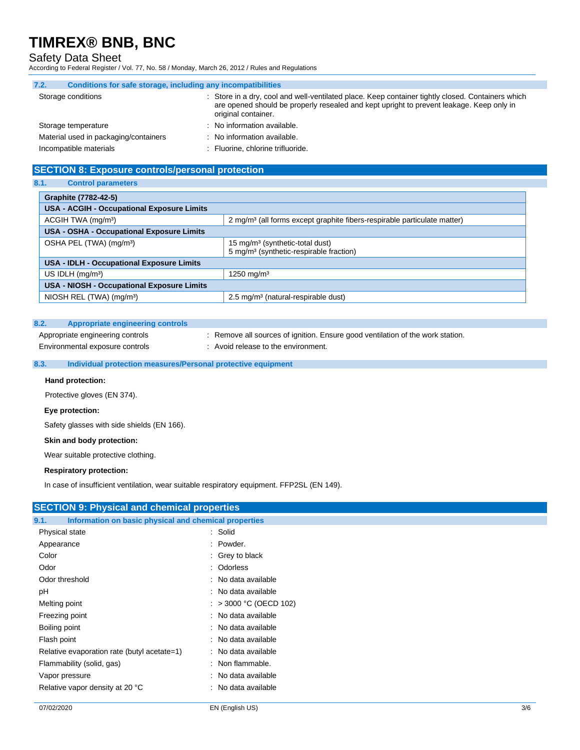## Safety Data Sheet

According to Federal Register / Vol. 77, No. 58 / Monday, March 26, 2012 / Rules and Regulations

| 7.2. | Conditions for safe storage, including any incompatibilities |                                                                                                                                                                                                                    |
|------|--------------------------------------------------------------|--------------------------------------------------------------------------------------------------------------------------------------------------------------------------------------------------------------------|
|      | Storage conditions                                           | Store in a dry, cool and well-ventilated place. Keep container tightly closed. Containers which<br>are opened should be properly resealed and kept upright to prevent leakage. Keep only in<br>original container. |
|      | Storage temperature                                          | No information available.                                                                                                                                                                                          |
|      | Material used in packaging/containers                        | No information available.                                                                                                                                                                                          |
|      | Incompatible materials                                       | Fluorine, chlorine trifluoride.                                                                                                                                                                                    |

## **SECTION 8: Exposure controls/personal protection**

#### **8.1. Control parameters**

| Graphite (7782-42-5)                              |                                                                                                    |  |
|---------------------------------------------------|----------------------------------------------------------------------------------------------------|--|
| <b>USA - ACGIH - Occupational Exposure Limits</b> |                                                                                                    |  |
| ACGIH TWA (mg/m <sup>3</sup> )                    | 2 mg/m <sup>3</sup> (all forms except graphite fibers-respirable particulate matter)               |  |
| <b>USA - OSHA - Occupational Exposure Limits</b>  |                                                                                                    |  |
| OSHA PEL (TWA) (mg/m <sup>3</sup> )               | 15 mg/m <sup>3</sup> (synthetic-total dust)<br>5 mg/m <sup>3</sup> (synthetic-respirable fraction) |  |
| <b>USA - IDLH - Occupational Exposure Limits</b>  |                                                                                                    |  |
| US IDLH $(mq/m3)$                                 | 1250 mg/m <sup>3</sup>                                                                             |  |
| <b>USA - NIOSH - Occupational Exposure Limits</b> |                                                                                                    |  |
| NIOSH REL (TWA) (mg/m <sup>3</sup> )              | 2.5 mg/m <sup>3</sup> (natural-respirable dust)                                                    |  |

### **8.2. Appropriate engineering controls**

Appropriate engineering controls : Remove all sources of ignition. Ensure good ventilation of the work station.

Environmental exposure controls : Avoid release to the environment.

### **8.3. Individual protection measures/Personal protective equipment**

#### **Hand protection:**

Protective gloves (EN 374).

#### **Eye protection:**

Safety glasses with side shields (EN 166).

#### **Skin and body protection:**

Wear suitable protective clothing.

#### **Respiratory protection:**

In case of insufficient ventilation, wear suitable respiratory equipment. FFP2SL (EN 149).

| <b>SECTION 9: Physical and chemical properties</b>            |                            |  |  |
|---------------------------------------------------------------|----------------------------|--|--|
| Information on basic physical and chemical properties<br>9.1. |                            |  |  |
| Physical state                                                | : Solid                    |  |  |
| Appearance                                                    | : Powder.                  |  |  |
| Color                                                         | $\therefore$ Grey to black |  |  |
| Odor                                                          | : Odorless                 |  |  |
| Odor threshold                                                | : No data available        |  |  |
| рH                                                            | : No data available        |  |  |
| Melting point                                                 | : > 3000 °C (OECD 102)     |  |  |
| Freezing point                                                | : No data available        |  |  |
| Boiling point                                                 | : No data available        |  |  |
| Flash point                                                   | : No data available        |  |  |
| Relative evaporation rate (butyl acetate=1)                   | : No data available        |  |  |
| Flammability (solid, gas)                                     | $:$ Non flammable.         |  |  |
| Vapor pressure                                                | : No data available        |  |  |
| Relative vapor density at 20 °C                               | : No data available        |  |  |
|                                                               |                            |  |  |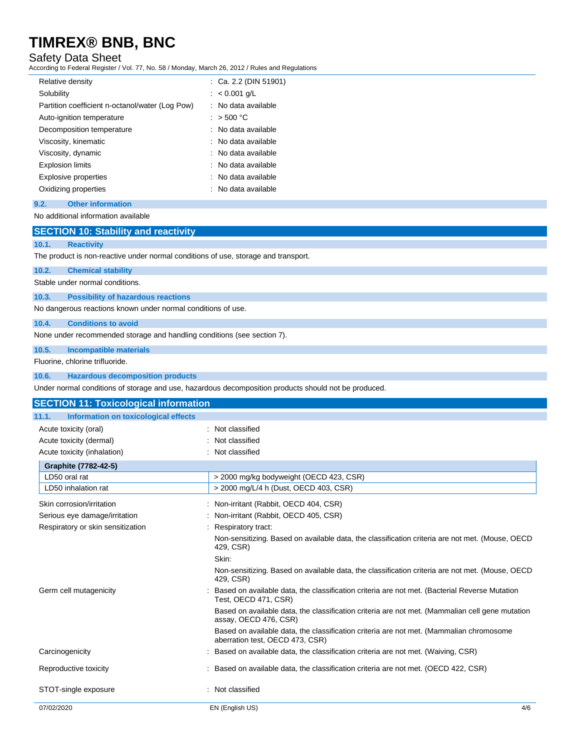### Safety Data Sheet

According to Federal Register / Vol. 77, No. 58 / Monday, March 26, 2012 / Rules and Regulations

| Relative density                                | $\therefore$ Ca. 2.2 (DIN 51901) |
|-------------------------------------------------|----------------------------------|
| Solubility                                      | : $< 0.001$ g/L                  |
| Partition coefficient n-octanol/water (Log Pow) | : No data available              |
| Auto-ignition temperature                       | $:$ > 500 °C                     |
| Decomposition temperature                       | : No data available              |
| Viscosity, kinematic                            | : No data available              |
| Viscosity, dynamic                              | : No data available              |
| <b>Explosion limits</b>                         | : No data available              |
| <b>Explosive properties</b>                     | : No data available              |
| Oxidizing properties                            | : No data available              |
| 9.2.<br><b>Other information</b>                |                                  |

## No additional information available

# **SECTION 10: Stability and reactivity**

# **10.1. Reactivity**

The product is non-reactive under normal conditions of use, storage and transport.

#### **10.2. Chemical stability**

Stable under normal conditions.

# **10.3. Possibility of hazardous reactions**

No dangerous reactions known under normal conditions of use.

#### **10.4. Conditions to avoid**

None under recommended storage and handling conditions (see section 7).

#### **10.5. Incompatible materials**

Fluorine, chlorine trifluoride.

#### **10.6. Hazardous decomposition products**

Under normal conditions of storage and use, hazardous decomposition products should not be produced.

| <b>SECTION 11: Toxicological information</b>  |                                                                                                                            |     |
|-----------------------------------------------|----------------------------------------------------------------------------------------------------------------------------|-----|
| Information on toxicological effects<br>11.1. |                                                                                                                            |     |
| Acute toxicity (oral)                         | : Not classified                                                                                                           |     |
| Acute toxicity (dermal)                       | : Not classified                                                                                                           |     |
| Acute toxicity (inhalation)                   | : Not classified                                                                                                           |     |
| Graphite (7782-42-5)                          |                                                                                                                            |     |
| LD50 oral rat                                 | > 2000 mg/kg bodyweight (OECD 423, CSR)                                                                                    |     |
| LD50 inhalation rat                           | > 2000 mg/L/4 h (Dust, OECD 403, CSR)                                                                                      |     |
| Skin corrosion/irritation                     | : Non-irritant (Rabbit, OECD 404, CSR)                                                                                     |     |
| Serious eye damage/irritation                 | : Non-irritant (Rabbit, OECD 405, CSR)                                                                                     |     |
| Respiratory or skin sensitization             | Respiratory tract:                                                                                                         |     |
|                                               | Non-sensitizing. Based on available data, the classification criteria are not met. (Mouse, OECD<br>429, CSR)               |     |
|                                               | Skin:                                                                                                                      |     |
|                                               | Non-sensitizing. Based on available data, the classification criteria are not met. (Mouse, OECD<br>429, CSR)               |     |
| Germ cell mutagenicity                        | Based on available data, the classification criteria are not met. (Bacterial Reverse Mutation<br>Test, OECD 471, CSR)      |     |
|                                               | Based on available data, the classification criteria are not met. (Mammalian cell gene mutation<br>assay, OECD 476, CSR)   |     |
|                                               | Based on available data, the classification criteria are not met. (Mammalian chromosome<br>aberration test, OECD 473, CSR) |     |
| Carcinogenicity                               | : Based on available data, the classification criteria are not met. (Waiving, CSR)                                         |     |
| Reproductive toxicity                         | : Based on available data, the classification criteria are not met. (OECD 422, CSR)                                        |     |
| STOT-single exposure                          | : Not classified                                                                                                           |     |
| 07/02/2020                                    | EN (English US)                                                                                                            | 4/6 |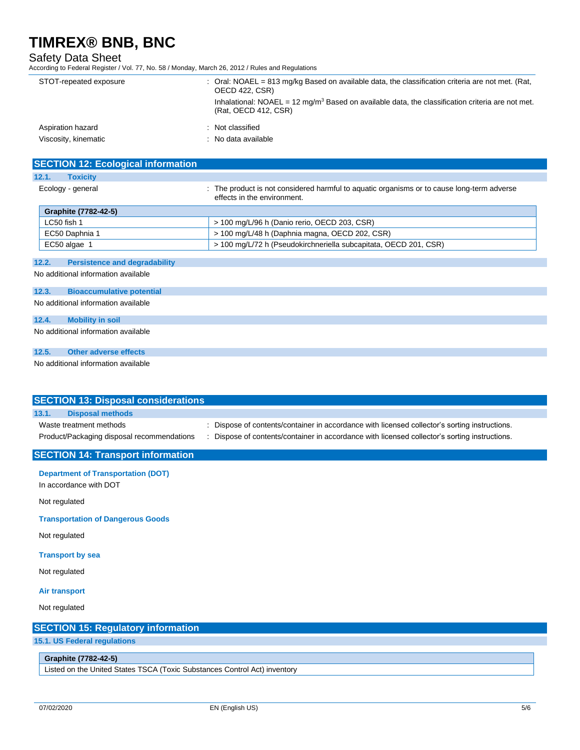## Safety Data Sheet

According to Federal Register / Vol. 77, No. 58 / Monday, March 26, 2012 / Rules and Regulations

| STOT-repeated exposure | : Oral: NOAEL = $813 \text{ mg/kg}$ Based on available data, the classification criteria are not met. (Rat,<br><b>OECD 422, CSR)</b><br>Inhalational: NOAEL = $12 \text{ mg/m}^3$ Based on available data, the classification criteria are not met.<br>(Rat. OECD 412, CSR) |
|------------------------|-----------------------------------------------------------------------------------------------------------------------------------------------------------------------------------------------------------------------------------------------------------------------------|
| Aspiration hazard      | : Not classified                                                                                                                                                                                                                                                            |
| Viscosity, kinematic   | : No data available                                                                                                                                                                                                                                                         |

| <b>SECTION 12: Ecological information</b>     |                                                                                                                           |
|-----------------------------------------------|---------------------------------------------------------------------------------------------------------------------------|
| 12.1.<br><b>Toxicity</b>                      |                                                                                                                           |
| Ecology - general                             | : The product is not considered harmful to aquatic organisms or to cause long-term adverse<br>effects in the environment. |
| Graphite (7782-42-5)                          |                                                                                                                           |
| LC50 fish 1                                   | > 100 mg/L/96 h (Danio rerio, OECD 203, CSR)                                                                              |
| EC50 Daphnia 1                                | > 100 mg/L/48 h (Daphnia magna, OECD 202, CSR)                                                                            |
| EC50 algae 1                                  | > 100 mg/L/72 h (Pseudokirchneriella subcapitata, OECD 201, CSR)                                                          |
|                                               |                                                                                                                           |
| 12.2.<br><b>Persistence and degradability</b> |                                                                                                                           |
| No additional information available           |                                                                                                                           |

### **12.3. Bioaccumulative potential**

No additional information available

#### **12.4. Mobility in soil**

No additional information available

#### **12.5. Other adverse effects**

No additional information available

| <b>SECTION 13: Disposal considerations</b>                                |                                                                                             |  |
|---------------------------------------------------------------------------|---------------------------------------------------------------------------------------------|--|
| <b>Disposal methods</b><br>13.1.                                          |                                                                                             |  |
| Waste treatment methods                                                   | Dispose of contents/container in accordance with licensed collector's sorting instructions. |  |
| Product/Packaging disposal recommendations                                | Dispose of contents/container in accordance with licensed collector's sorting instructions. |  |
| <b>SECTION 14: Transport information</b>                                  |                                                                                             |  |
| <b>Department of Transportation (DOT)</b>                                 |                                                                                             |  |
| In accordance with DOT                                                    |                                                                                             |  |
| Not regulated                                                             |                                                                                             |  |
| <b>Transportation of Dangerous Goods</b>                                  |                                                                                             |  |
| Not regulated                                                             |                                                                                             |  |
| <b>Transport by sea</b>                                                   |                                                                                             |  |
| Not regulated                                                             |                                                                                             |  |
| <b>Air transport</b>                                                      |                                                                                             |  |
| Not regulated                                                             |                                                                                             |  |
| <b>SECTION 15: Regulatory information</b>                                 |                                                                                             |  |
| 15.1. US Federal regulations                                              |                                                                                             |  |
| Graphite (7782-42-5)                                                      |                                                                                             |  |
| Listed on the United States TSCA (Toxic Substances Control Act) inventory |                                                                                             |  |
|                                                                           |                                                                                             |  |